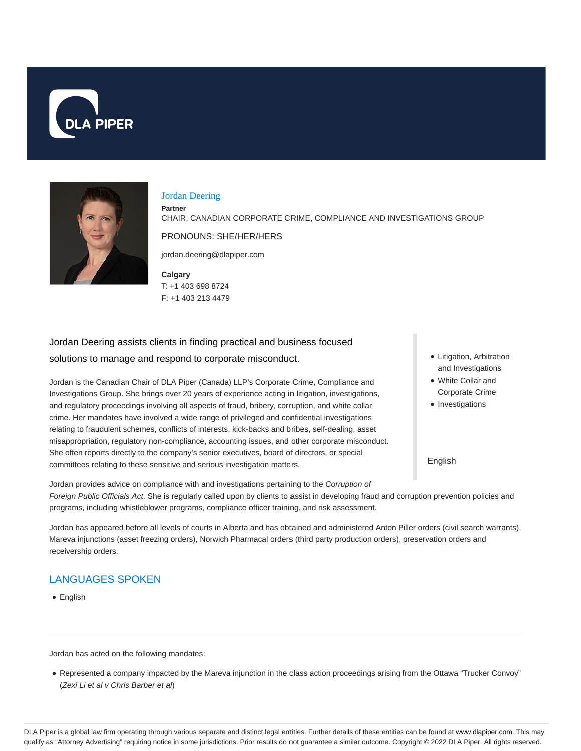



#### Jordan Deering

**Partner**

CHAIR, CANADIAN CORPORATE CRIME, COMPLIANCE AND INVESTIGATIONS GROUP

PRONOUNS: SHE/HER/HERS

jordan.deering@dlapiper.com

**Calgary** T: +1 403 698 8724 F: +1 403 213 4479

Jordan Deering assists clients in finding practical and business focused solutions to manage and respond to corporate misconduct.

Jordan is the Canadian Chair of DLA Piper (Canada) LLP's Corporate Crime, Compliance and Investigations Group. She brings over 20 years of experience acting in litigation, investigations, and regulatory proceedings involving all aspects of fraud, bribery, corruption, and white collar crime. Her mandates have involved a wide range of privileged and confidential investigations relating to fraudulent schemes, conflicts of interests, kick-backs and bribes, self-dealing, asset misappropriation, regulatory non-compliance, accounting issues, and other corporate misconduct. She often reports directly to the company's senior executives, board of directors, or special committees relating to these sensitive and serious investigation matters.

- Litigation, Arbitration and Investigations
- White Collar and Corporate Crime
- Investigations

English

Jordan provides advice on compliance with and investigations pertaining to the Corruption of Foreign Public Officials Act. She is regularly called upon by clients to assist in developing fraud and corruption prevention policies and programs, including whistleblower programs, compliance officer training, and risk assessment.

Jordan has appeared before all levels of courts in Alberta and has obtained and administered Anton Piller orders (civil search warrants), Mareva injunctions (asset freezing orders), Norwich Pharmacal orders (third party production orders), preservation orders and receivership orders.

# LANGUAGES SPOKEN

English

Jordan has acted on the following mandates:

Represented a company impacted by the Mareva injunction in the class action proceedings arising from the Ottawa "Trucker Convoy" (Zexi Li et al v Chris Barber et al)

DLA Piper is a global law firm operating through various separate and distinct legal entities. Further details of these entities can be found at www.dlapiper.com. This may qualify as "Attorney Advertising" requiring notice in some jurisdictions. Prior results do not guarantee a similar outcome. Copyright © 2022 DLA Piper. All rights reserved.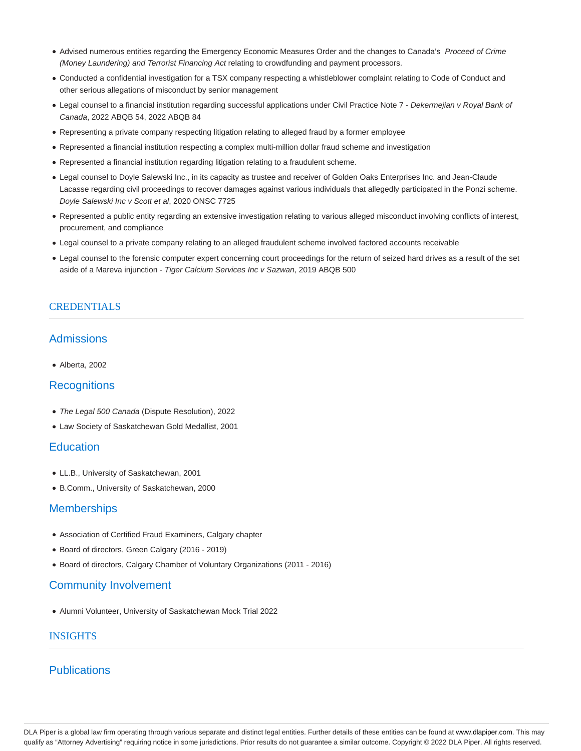- Advised numerous entities regarding the Emergency Economic Measures Order and the changes to Canada's Proceed of Crime (Money Laundering) and Terrorist Financing Act relating to crowdfunding and payment processors.
- Conducted a confidential investigation for a TSX company respecting a whistleblower complaint relating to Code of Conduct and other serious allegations of misconduct by senior management
- Legal counsel to a financial institution regarding successful applications under Civil Practice Note 7 Dekermejian v Royal Bank of Canada, 2022 ABQB 54, 2022 ABQB 84
- Representing a private company respecting litigation relating to alleged fraud by a former employee
- Represented a financial institution respecting a complex multi-million dollar fraud scheme and investigation
- Represented a financial institution regarding litigation relating to a fraudulent scheme.
- Legal counsel to Doyle Salewski Inc., in its capacity as trustee and receiver of Golden Oaks Enterprises Inc. and Jean-Claude Lacasse regarding civil proceedings to recover damages against various individuals that allegedly participated in the Ponzi scheme. Doyle Salewski Inc v Scott et al, 2020 ONSC 7725
- Represented a public entity regarding an extensive investigation relating to various alleged misconduct involving conflicts of interest, procurement, and compliance
- Legal counsel to a private company relating to an alleged fraudulent scheme involved factored accounts receivable
- Legal counsel to the forensic computer expert concerning court proceedings for the return of seized hard drives as a result of the set aside of a Mareva injunction - Tiger Calcium Services Inc v Sazwan, 2019 ABQB 500

#### **CREDENTIALS**

# Admissions

Alberta, 2002

## **Recognitions**

- The Legal 500 Canada (Dispute Resolution), 2022
- Law Society of Saskatchewan Gold Medallist, 2001

### **Education**

- LL.B., University of Saskatchewan, 2001
- B.Comm., University of Saskatchewan, 2000

### **Memberships**

- Association of Certified Fraud Examiners, Calgary chapter
- Board of directors, Green Calgary (2016 2019)
- Board of directors, Calgary Chamber of Voluntary Organizations (2011 2016)

#### Community Involvement

Alumni Volunteer, University of Saskatchewan Mock Trial 2022

#### INSIGHTS

# **Publications**

DLA Piper is a global law firm operating through various separate and distinct legal entities. Further details of these entities can be found at www.dlapiper.com. This may qualify as "Attorney Advertising" requiring notice in some jurisdictions. Prior results do not guarantee a similar outcome. Copyright © 2022 DLA Piper. All rights reserved.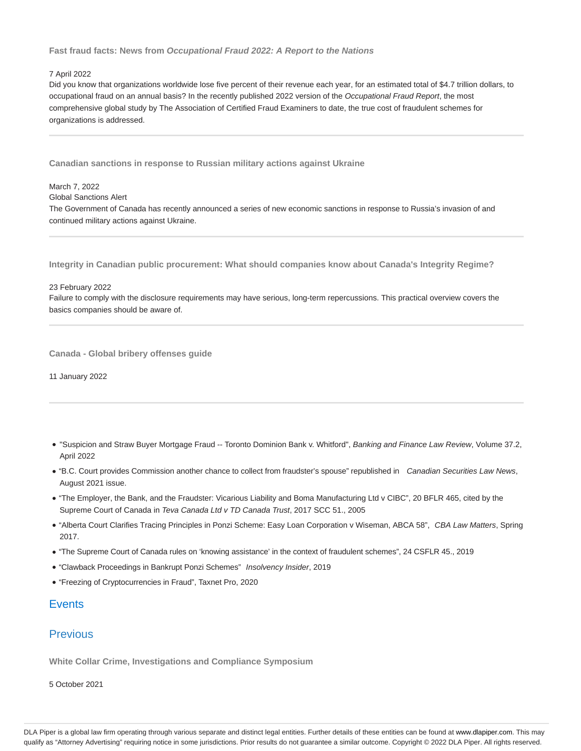#### **Fast fraud facts: News from Occupational Fraud 2022: A Report to the Nations**

#### 7 April 2022

March 7, 2022

Did you know that organizations worldwide lose five percent of their revenue each year, for an estimated total of \$4.7 trillion dollars, to occupational fraud on an annual basis? In the recently published 2022 version of the Occupational Fraud Report, the most comprehensive global study by The Association of Certified Fraud Examiners to date, the true cost of fraudulent schemes for organizations is addressed.

**Canadian sanctions in response to Russian military actions against Ukraine**

Global Sanctions Alert The Government of Canada has recently announced a series of new economic sanctions in response to Russia's invasion of and continued military actions against Ukraine.

**Integrity in Canadian public procurement: What should companies know about Canada's Integrity Regime?**

23 February 2022

Failure to comply with the disclosure requirements may have serious, long-term repercussions. This practical overview covers the basics companies should be aware of.

**Canada - Global bribery offenses guide**

11 January 2022

- . "Suspicion and Straw Buyer Mortgage Fraud -- Toronto Dominion Bank v. Whitford", Banking and Finance Law Review, Volume 37.2, April 2022
- "B.C. Court provides Commission another chance to collect from fraudster's spouse" republished in Canadian Securities Law News, August 2021 issue.
- "The Employer, the Bank, and the Fraudster: Vicarious Liability and Boma Manufacturing Ltd v CIBC", 20 BFLR 465, cited by the Supreme Court of Canada in Teva Canada Ltd v TD Canada Trust, 2017 SCC 51., 2005
- . "Alberta Court Clarifies Tracing Principles in Ponzi Scheme: Easy Loan Corporation v Wiseman, ABCA 58", CBA Law Matters, Spring 2017.
- "The Supreme Court of Canada rules on 'knowing assistance' in the context of fraudulent schemes", 24 CSFLR 45., 2019
- "Clawback Proceedings in Bankrupt Ponzi Schemes" Insolvency Insider, 2019
- "Freezing of Cryptocurrencies in Fraud", Taxnet Pro, 2020

## **Events**

## **Previous**

**White Collar Crime, Investigations and Compliance Symposium**

5 October 2021